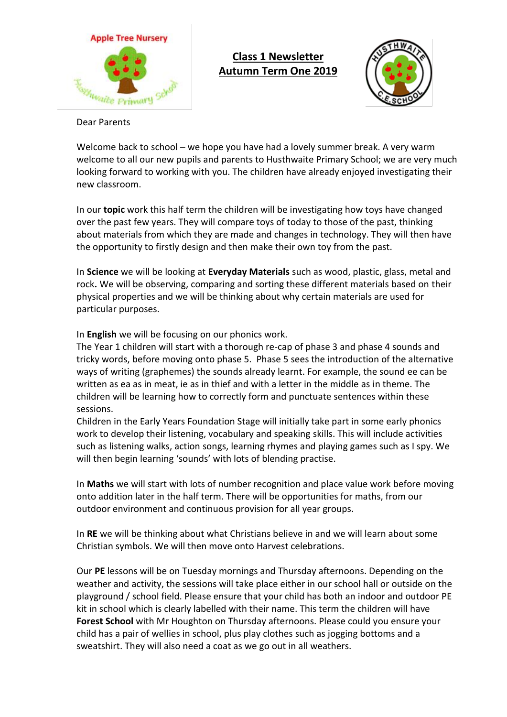

## **Class 1 Newsletter Autumn Term One 2019**



Dear Parents

Welcome back to school – we hope you have had a lovely summer break. A very warm welcome to all our new pupils and parents to Husthwaite Primary School; we are very much looking forward to working with you. The children have already enjoyed investigating their new classroom.

In our **topic** work this half term the children will be investigating how toys have changed over the past few years. They will compare toys of today to those of the past, thinking about materials from which they are made and changes in technology. They will then have the opportunity to firstly design and then make their own toy from the past.

In **Science** we will be looking at **Everyday Materials** such as wood, plastic, glass, metal and rock**.** We will be observing, comparing and sorting these different materials based on their physical properties and we will be thinking about why certain materials are used for particular purposes.

In **English** we will be focusing on our phonics work.

The Year 1 children will start with a thorough re-cap of phase 3 and phase 4 sounds and tricky words, before moving onto phase 5. Phase 5 sees the introduction of the alternative ways of writing (graphemes) the sounds already learnt. For example, the sound ee can be written as ea as in meat, ie as in thief and with a letter in the middle as in theme. The children will be learning how to correctly form and punctuate sentences within these sessions.

Children in the Early Years Foundation Stage will initially take part in some early phonics work to develop their listening, vocabulary and speaking skills. This will include activities such as listening walks, action songs, learning rhymes and playing games such as I spy. We will then begin learning 'sounds' with lots of blending practise.

In **Maths** we will start with lots of number recognition and place value work before moving onto addition later in the half term. There will be opportunities for maths, from our outdoor environment and continuous provision for all year groups.

In **RE** we will be thinking about what Christians believe in and we will learn about some Christian symbols. We will then move onto Harvest celebrations.

Our **PE** lessons will be on Tuesday mornings and Thursday afternoons. Depending on the weather and activity, the sessions will take place either in our school hall or outside on the playground / school field. Please ensure that your child has both an indoor and outdoor PE kit in school which is clearly labelled with their name. This term the children will have **Forest School** with Mr Houghton on Thursday afternoons. Please could you ensure your child has a pair of wellies in school, plus play clothes such as jogging bottoms and a sweatshirt. They will also need a coat as we go out in all weathers.